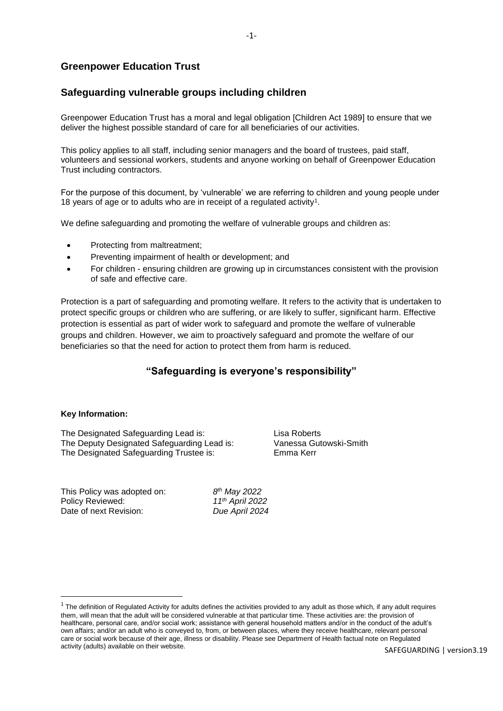# **Greenpower Education Trust**

# **Safeguarding vulnerable groups including children**

Greenpower Education Trust has a moral and legal obligation [Children Act 1989] to ensure that we deliver the highest possible standard of care for all beneficiaries of our activities.

This policy applies to all staff, including senior managers and the board of trustees, paid staff, volunteers and sessional workers, students and anyone working on behalf of Greenpower Education Trust including contractors.

For the purpose of this document, by 'vulnerable' we are referring to children and young people under 18 years of age or to adults who are in receipt of a regulated activity<sup>1</sup>.

We define safeguarding and promoting the welfare of vulnerable groups and children as:

- Protecting from maltreatment;
- Preventing impairment of health or development; and
- For children ensuring children are growing up in circumstances consistent with the provision of safe and effective care.

Protection is a part of safeguarding and promoting welfare. It refers to the activity that is undertaken to protect specific groups or children who are suffering, or are likely to suffer, significant harm. Effective protection is essential as part of wider work to safeguard and promote the welfare of vulnerable groups and children. However, we aim to proactively safeguard and promote the welfare of our beneficiaries so that the need for action to protect them from harm is reduced.

# **"Safeguarding is everyone's responsibility"**

### **Key Information:**

1

The Designated Safeguarding Lead is: Lisa Roberts The Deputy Designated Safeguarding Lead is: Vanessa Gutowski-Smith The Designated Safeguarding Trustee is: Emma Kerr

This Policy was adopted on: *8* Policy Reviewed: *11th April 2022* Date of next Revision: *Due April 2024*

*th May 2022*

 $1$  The definition of Regulated Activity for adults defines the activities provided to any adult as those which, if any adult requires them, will mean that the adult will be considered vulnerable at that particular time. These activities are: the provision of healthcare, personal care, and/or social work; assistance with general household matters and/or in the conduct of the adult's own affairs; and/or an adult who is conveyed to, from, or between places, where they receive healthcare, relevant personal care or social work because of their age, illness or disability. Please see Department of Health factual note on Regulated activity (adults) available on their website.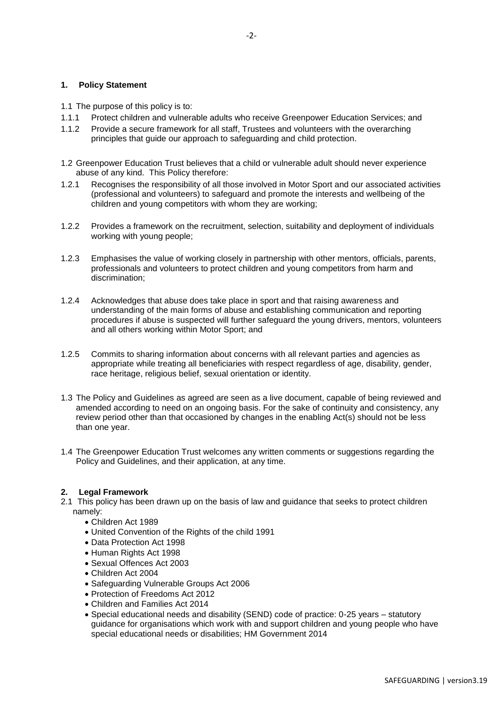### **1. Policy Statement**

- 1.1 The purpose of this policy is to:
- 1.1.1 Protect children and vulnerable adults who receive Greenpower Education Services; and
- 1.1.2 Provide a secure framework for all staff, Trustees and volunteers with the overarching principles that guide our approach to safeguarding and child protection.
- 1.2 Greenpower Education Trust believes that a child or vulnerable adult should never experience abuse of any kind. This Policy therefore:
- 1.2.1 Recognises the responsibility of all those involved in Motor Sport and our associated activities (professional and volunteers) to safeguard and promote the interests and wellbeing of the children and young competitors with whom they are working;
- 1.2.2 Provides a framework on the recruitment, selection, suitability and deployment of individuals working with young people;
- 1.2.3 Emphasises the value of working closely in partnership with other mentors, officials, parents, professionals and volunteers to protect children and young competitors from harm and discrimination;
- 1.2.4 Acknowledges that abuse does take place in sport and that raising awareness and understanding of the main forms of abuse and establishing communication and reporting procedures if abuse is suspected will further safeguard the young drivers, mentors, volunteers and all others working within Motor Sport; and
- 1.2.5 Commits to sharing information about concerns with all relevant parties and agencies as appropriate while treating all beneficiaries with respect regardless of age, disability, gender, race heritage, religious belief, sexual orientation or identity.
- 1.3 The Policy and Guidelines as agreed are seen as a live document, capable of being reviewed and amended according to need on an ongoing basis. For the sake of continuity and consistency, any review period other than that occasioned by changes in the enabling Act(s) should not be less than one year.
- 1.4 The Greenpower Education Trust welcomes any written comments or suggestions regarding the Policy and Guidelines, and their application, at any time.

### **2. Legal Framework**

- 2.1This policy has been drawn up on the basis of law and guidance that seeks to protect children namely:
	- Children Act 1989
	- United Convention of the Rights of the child 1991
	- Data Protection Act 1998
	- Human Rights Act 1998
	- Sexual Offences Act 2003
	- Children Act 2004
	- Safeguarding Vulnerable Groups Act 2006
	- Protection of Freedoms Act 2012
	- Children and Families Act 2014
	- Special educational needs and disability (SEND) code of practice: 0-25 years statutory guidance for organisations which work with and support children and young people who have special educational needs or disabilities; HM Government 2014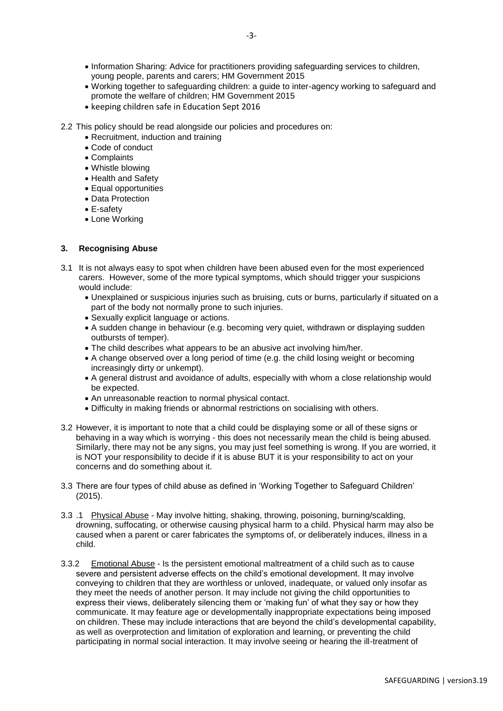- Working together to safeguarding children: a guide to inter-agency working to safeguard and promote the welfare of children; HM Government 2015
- keeping children safe in Education Sept 2016
- 2.2 This policy should be read alongside our policies and procedures on:
	- Recruitment, induction and training
	- Code of conduct
	- Complaints
	- Whistle blowing
	- Health and Safety
	- Equal opportunities
	- Data Protection
	- E-safety
	- Lone Working

## **3. Recognising Abuse**

- 3.1 It is not always easy to spot when children have been abused even for the most experienced carers. However, some of the more typical symptoms, which should trigger your suspicions would include:
	- Unexplained or suspicious injuries such as bruising, cuts or burns, particularly if situated on a part of the body not normally prone to such injuries.
	- Sexually explicit language or actions.
	- A sudden change in behaviour (e.g. becoming very quiet, withdrawn or displaying sudden outbursts of temper).
	- The child describes what appears to be an abusive act involving him/her.
	- A change observed over a long period of time (e.g. the child losing weight or becoming increasingly dirty or unkempt).
	- A general distrust and avoidance of adults, especially with whom a close relationship would be expected.
	- An unreasonable reaction to normal physical contact.
	- Difficulty in making friends or abnormal restrictions on socialising with others.
- 3.2 However, it is important to note that a child could be displaying some or all of these signs or behaving in a way which is worrying - this does not necessarily mean the child is being abused. Similarly, there may not be any signs, you may just feel something is wrong. If you are worried, it is NOT your responsibility to decide if it is abuse BUT it is your responsibility to act on your concerns and do something about it.
- 3.3 There are four types of child abuse as defined in 'Working Together to Safeguard Children' (2015).
- 3.3 .1 Physical Abuse May involve hitting, shaking, throwing, poisoning, burning/scalding, drowning, suffocating, or otherwise causing physical harm to a child. Physical harm may also be caused when a parent or carer fabricates the symptoms of, or deliberately induces, illness in a child.
- 3.3.2 Emotional Abuse Is the persistent emotional maltreatment of a child such as to cause severe and persistent adverse effects on the child's emotional development. It may involve conveying to children that they are worthless or unloved, inadequate, or valued only insofar as they meet the needs of another person. It may include not giving the child opportunities to express their views, deliberately silencing them or 'making fun' of what they say or how they communicate. It may feature age or developmentally inappropriate expectations being imposed on children. These may include interactions that are beyond the child's developmental capability, as well as overprotection and limitation of exploration and learning, or preventing the child participating in normal social interaction. It may involve seeing or hearing the ill-treatment of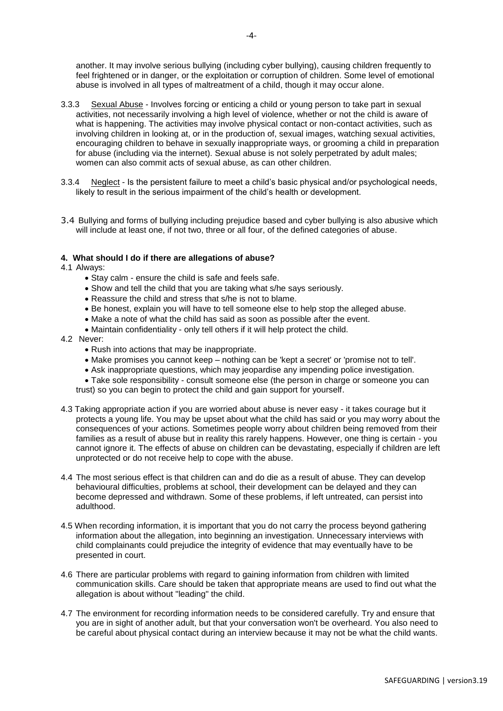another. It may involve serious bullying (including cyber bullying), causing children frequently to feel frightened or in danger, or the exploitation or corruption of children. Some level of emotional abuse is involved in all types of maltreatment of a child, though it may occur alone.

- 3.3.3 Sexual Abuse Involves forcing or enticing a child or young person to take part in sexual activities, not necessarily involving a high level of violence, whether or not the child is aware of what is happening. The activities may involve physical contact or non-contact activities, such as involving children in looking at, or in the production of, sexual images, watching sexual activities, encouraging children to behave in sexually inappropriate ways, or grooming a child in preparation for abuse (including via the internet). Sexual abuse is not solely perpetrated by adult males; women can also commit acts of sexual abuse, as can other children.
- 3.3.4 Neglect Is the persistent failure to meet a child's basic physical and/or psychological needs, likely to result in the serious impairment of the child's health or development.
- 3.4 Bullying and forms of bullying including prejudice based and cyber bullying is also abusive which will include at least one, if not two, three or all four, of the defined categories of abuse.

### **4. What should I do if there are allegations of abuse?**

4.1 Always:

- Stay calm ensure the child is safe and feels safe.
- Show and tell the child that you are taking what s/he says seriously.
- Reassure the child and stress that s/he is not to blame.
- Be honest, explain you will have to tell someone else to help stop the alleged abuse.
- Make a note of what the child has said as soon as possible after the event.
- Maintain confidentiality only tell others if it will help protect the child.
- 4.2 Never:
	- Rush into actions that may be inappropriate.
	- Make promises you cannot keep nothing can be 'kept a secret' or 'promise not to tell'.
	- Ask inappropriate questions, which may jeopardise any impending police investigation.
	- Take sole responsibility consult someone else (the person in charge or someone you can

trust) so you can begin to protect the child and gain support for yourself.

- 4.3 Taking appropriate action if you are worried about abuse is never easy it takes courage but it protects a young life. You may be upset about what the child has said or you may worry about the consequences of your actions. Sometimes people worry about children being removed from their families as a result of abuse but in reality this rarely happens. However, one thing is certain - you cannot ignore it. The effects of abuse on children can be devastating, especially if children are left unprotected or do not receive help to cope with the abuse.
- 4.4 The most serious effect is that children can and do die as a result of abuse. They can develop behavioural difficulties, problems at school, their development can be delayed and they can become depressed and withdrawn. Some of these problems, if left untreated, can persist into adulthood.
- 4.5 When recording information, it is important that you do not carry the process beyond gathering information about the allegation, into beginning an investigation. Unnecessary interviews with child complainants could prejudice the integrity of evidence that may eventually have to be presented in court.
- 4.6 There are particular problems with regard to gaining information from children with limited communication skills. Care should be taken that appropriate means are used to find out what the allegation is about without "leading" the child.
- 4.7 The environment for recording information needs to be considered carefully. Try and ensure that you are in sight of another adult, but that your conversation won't be overheard. You also need to be careful about physical contact during an interview because it may not be what the child wants.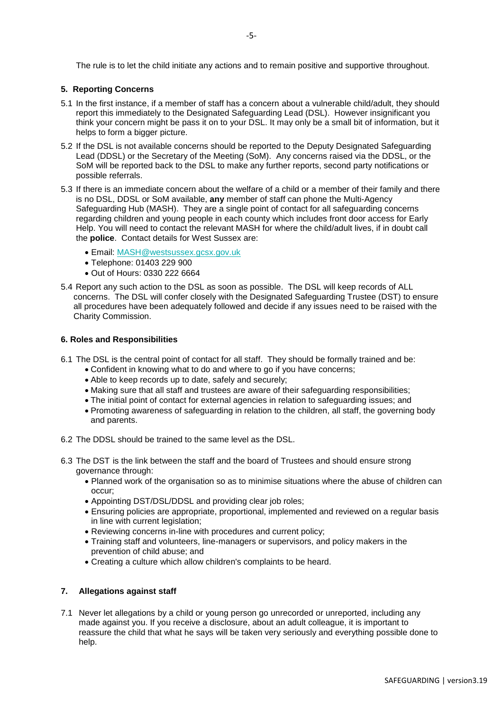The rule is to let the child initiate any actions and to remain positive and supportive throughout.

### **5. Reporting Concerns**

- 5.1 In the first instance, if a member of staff has a concern about a vulnerable child/adult, they should report this immediately to the Designated Safeguarding Lead (DSL). However insignificant you think your concern might be pass it on to your DSL. It may only be a small bit of information, but it helps to form a bigger picture.
- 5.2 If the DSL is not available concerns should be reported to the Deputy Designated Safeguarding Lead (DDSL) or the Secretary of the Meeting (SoM). Any concerns raised via the DDSL, or the SoM will be reported back to the DSL to make any further reports, second party notifications or possible referrals.
- 5.3 If there is an immediate concern about the welfare of a child or a member of their family and there is no DSL, DDSL or SoM available, **any** member of staff can phone the Multi-Agency Safeguarding Hub (MASH). They are a single point of contact for all safeguarding concerns regarding children and young people in each county which includes front door access for Early Help. You will need to contact the relevant MASH for where the child/adult lives, if in doubt call the **police**. Contact details for West Sussex are:
	- Email: [MASH@westsussex.gcsx.gov.uk](mailto:MASH@westsussex.gcsx.gov.uk)
	- Telephone: 01403 229 900
	- Out of Hours: 0330 222 6664
- 5.4 Report any such action to the DSL as soon as possible. The DSL will keep records of ALL concerns. The DSL will confer closely with the Designated Safeguarding Trustee (DST) to ensure all procedures have been adequately followed and decide if any issues need to be raised with the Charity Commission.

### **6. Roles and Responsibilities**

- 6.1 The DSL is the central point of contact for all staff. They should be formally trained and be:
	- Confident in knowing what to do and where to go if you have concerns;
	- Able to keep records up to date, safely and securely;
	- Making sure that all staff and trustees are aware of their safeguarding responsibilities;
	- The initial point of contact for external agencies in relation to safeguarding issues; and
	- Promoting awareness of safeguarding in relation to the children, all staff, the governing body and parents.
- 6.2 The DDSL should be trained to the same level as the DSL.
- 6.3 The DST is the link between the staff and the board of Trustees and should ensure strong governance through:
	- Planned work of the organisation so as to minimise situations where the abuse of children can occur;
	- Appointing DST/DSL/DDSL and providing clear job roles;
	- Ensuring policies are appropriate, proportional, implemented and reviewed on a regular basis in line with current legislation;
	- Reviewing concerns in-line with procedures and current policy;
	- Training staff and volunteers, line-managers or supervisors, and policy makers in the prevention of child abuse; and
	- Creating a culture which allow children's complaints to be heard.

## **7. Allegations against staff**

7.1 Never let allegations by a child or young person go unrecorded or unreported, including any made against you. If you receive a disclosure, about an adult colleague, it is important to reassure the child that what he says will be taken very seriously and everything possible done to help.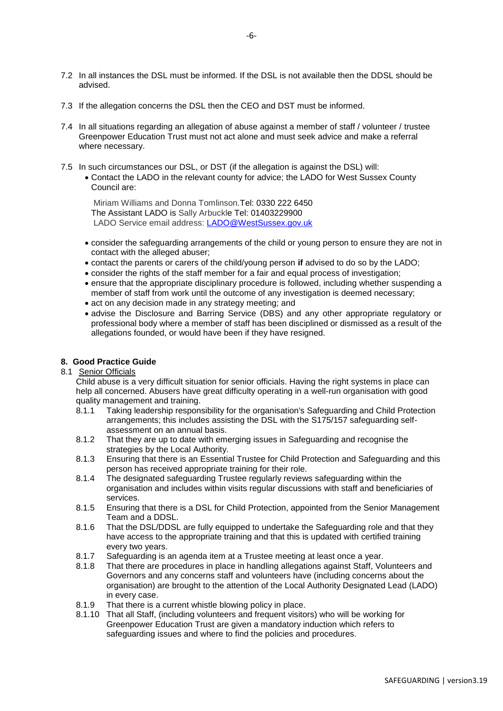- 7.2 In all instances the DSL must be informed. If the DSL is not available then the DDSL should be advised.
- 7.3 If the allegation concerns the DSL then the CEO and DST must be informed.
- 7.4 In all situations regarding an allegation of abuse against a member of staff / volunteer / trustee Greenpower Education Trust must not act alone and must seek advice and make a referral where necessary.
- 7.5 In such circumstances our DSL, or DST (if the allegation is against the DSL) will:
	- Contact the LADO in the relevant county for advice; the LADO for West Sussex County Council are:

Miriam Williams and Donna Tomlinson.Tel: 0330 222 6450 The Assistant LADO is Sally Arbuckle Tel: [01403229900](tel: 01403229900       )  LADO Service email address: [LADO@WestSussex.gov.uk](mailto:LADO@WestSussex.gov.uk)

- consider the safeguarding arrangements of the child or young person to ensure they are not in contact with the alleged abuser;
- contact the parents or carers of the child/young person **if** advised to do so by the LADO;
- consider the rights of the staff member for a fair and equal process of investigation;
- ensure that the appropriate disciplinary procedure is followed, including whether suspending a member of staff from work until the outcome of any investigation is deemed necessary;
- act on any decision made in any strategy meeting; and
- advise the Disclosure and Barring Service (DBS) and any other appropriate regulatory or professional body where a member of staff has been disciplined or dismissed as a result of the allegations founded, or would have been if they have resigned.

## **8. Good Practice Guide**

### 8.1 Senior Officials

Child abuse is a very difficult situation for senior officials. Having the right systems in place can help all concerned. Abusers have great difficulty operating in a well-run organisation with good quality management and training.

- 8.1.1 Taking leadership responsibility for the organisation's Safeguarding and Child Protection arrangements; this includes assisting the DSL with the S175/157 safeguarding selfassessment on an annual basis.
- 8.1.2 That they are up to date with emerging issues in Safeguarding and recognise the strategies by the Local Authority.
- 8.1.3 Ensuring that there is an Essential Trustee for Child Protection and Safeguarding and this person has received appropriate training for their role.
- 8.1.4 The designated safeguarding Trustee regularly reviews safeguarding within the organisation and includes within visits regular discussions with staff and beneficiaries of services.
- 8.1.5 Ensuring that there is a DSL for Child Protection, appointed from the Senior Management Team and a DDSL.
- 8.1.6 That the DSL/DDSL are fully equipped to undertake the Safeguarding role and that they have access to the appropriate training and that this is updated with certified training every two years.
- 8.1.7 Safeguarding is an agenda item at a Trustee meeting at least once a year.
- 8.1.8 That there are procedures in place in handling allegations against Staff, Volunteers and Governors and any concerns staff and volunteers have (including concerns about the organisation) are brought to the attention of the Local Authority Designated Lead (LADO) in every case.
- 8.1.9 That there is a current whistle blowing policy in place.
- 8.1.10 That all Staff, (including volunteers and frequent visitors) who will be working for Greenpower Education Trust are given a mandatory induction which refers to safeguarding issues and where to find the policies and procedures.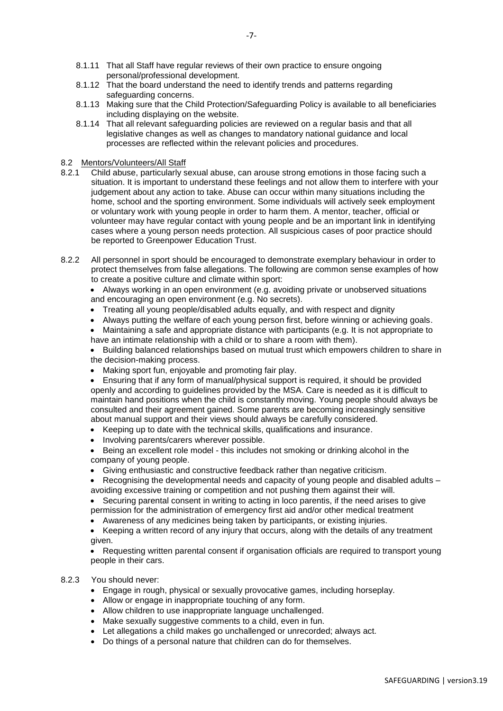- 8.1.11 That all Staff have regular reviews of their own practice to ensure ongoing personal/professional development.
- 8.1.12 That the board understand the need to identify trends and patterns regarding safeguarding concerns.
- 8.1.13 Making sure that the Child Protection/Safeguarding Policy is available to all beneficiaries including displaying on the website.
- 8.1.14 That all relevant safeguarding policies are reviewed on a regular basis and that all legislative changes as well as changes to mandatory national guidance and local processes are reflected within the relevant policies and procedures.

### 8.2 Mentors/Volunteers/All Staff

- 8.2.1 Child abuse, particularly sexual abuse, can arouse strong emotions in those facing such a situation. It is important to understand these feelings and not allow them to interfere with your judgement about any action to take. Abuse can occur within many situations including the home, school and the sporting environment. Some individuals will actively seek employment or voluntary work with young people in order to harm them. A mentor, teacher, official or volunteer may have regular contact with young people and be an important link in identifying cases where a young person needs protection. All suspicious cases of poor practice should be reported to Greenpower Education Trust.
- 8.2.2 All personnel in sport should be encouraged to demonstrate exemplary behaviour in order to protect themselves from false allegations. The following are common sense examples of how to create a positive culture and climate within sport:

• Always working in an open environment (e.g. avoiding private or unobserved situations and encouraging an open environment (e.g. No secrets).

- Treating all young people/disabled adults equally, and with respect and dignity
- Always putting the welfare of each young person first, before winning or achieving goals.

 Maintaining a safe and appropriate distance with participants (e.g. It is not appropriate to have an intimate relationship with a child or to share a room with them).

• Building balanced relationships based on mutual trust which empowers children to share in the decision-making process.

Making sport fun, enjoyable and promoting fair play.

 Ensuring that if any form of manual/physical support is required, it should be provided openly and according to guidelines provided by the MSA. Care is needed as it is difficult to maintain hand positions when the child is constantly moving. Young people should always be consulted and their agreement gained. Some parents are becoming increasingly sensitive about manual support and their views should always be carefully considered.

- Keeping up to date with the technical skills, qualifications and insurance.
- Involving parents/carers wherever possible.
- Being an excellent role model this includes not smoking or drinking alcohol in the company of young people.
- Giving enthusiastic and constructive feedback rather than negative criticism.
- Recognising the developmental needs and capacity of young people and disabled adults avoiding excessive training or competition and not pushing them against their will.

• Securing parental consent in writing to acting in loco parentis, if the need arises to give permission for the administration of emergency first aid and/or other medical treatment

Awareness of any medicines being taken by participants, or existing injuries.

• Keeping a written record of any injury that occurs, along with the details of any treatment given.

• Requesting written parental consent if organisation officials are required to transport young people in their cars.

### 8.2.3 You should never:

- Engage in rough, physical or sexually provocative games, including horseplay.
- Allow or engage in inappropriate touching of any form.
- Allow children to use inappropriate language unchallenged.
- Make sexually suggestive comments to a child, even in fun.
- Let allegations a child makes go unchallenged or unrecorded; always act.
- Do things of a personal nature that children can do for themselves.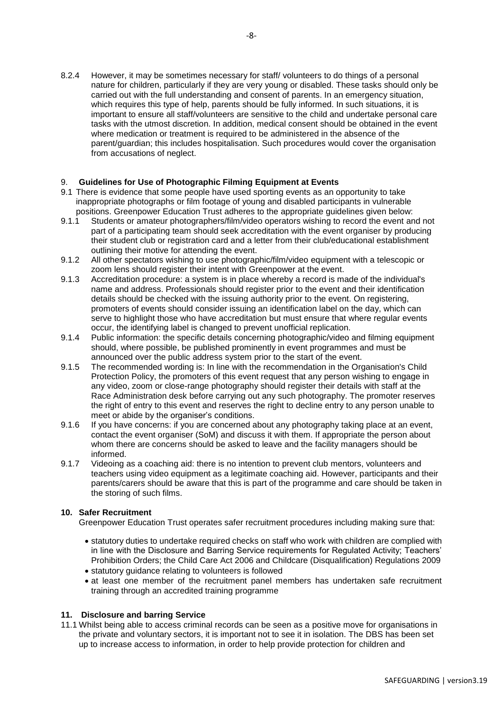8.2.4 However, it may be sometimes necessary for staff/ volunteers to do things of a personal nature for children, particularly if they are very young or disabled. These tasks should only be carried out with the full understanding and consent of parents. In an emergency situation, which requires this type of help, parents should be fully informed. In such situations, it is important to ensure all staff/volunteers are sensitive to the child and undertake personal care tasks with the utmost discretion. In addition, medical consent should be obtained in the event where medication or treatment is required to be administered in the absence of the parent/guardian; this includes hospitalisation. Such procedures would cover the organisation from accusations of neglect.

## 9. **Guidelines for Use of Photographic Filming Equipment at Events**

- 9.1 There is evidence that some people have used sporting events as an opportunity to take inappropriate photographs or film footage of young and disabled participants in vulnerable positions. Greenpower Education Trust adheres to the appropriate guidelines given below:
- 9.1.1 Students or amateur photographers/film/video operators wishing to record the event and not part of a participating team should seek accreditation with the event organiser by producing their student club or registration card and a letter from their club/educational establishment outlining their motive for attending the event.
- 9.1.2 All other spectators wishing to use photographic/film/video equipment with a telescopic or zoom lens should register their intent with Greenpower at the event.
- 9.1.3 Accreditation procedure: a system is in place whereby a record is made of the individual's name and address. Professionals should register prior to the event and their identification details should be checked with the issuing authority prior to the event. On registering, promoters of events should consider issuing an identification label on the day, which can serve to highlight those who have accreditation but must ensure that where regular events occur, the identifying label is changed to prevent unofficial replication.
- 9.1.4 Public information: the specific details concerning photographic/video and filming equipment should, where possible, be published prominently in event programmes and must be announced over the public address system prior to the start of the event.
- 9.1.5 The recommended wording is: In line with the recommendation in the Organisation's Child Protection Policy, the promoters of this event request that any person wishing to engage in any video, zoom or close-range photography should register their details with staff at the Race Administration desk before carrying out any such photography. The promoter reserves the right of entry to this event and reserves the right to decline entry to any person unable to meet or abide by the organiser's conditions.
- 9.1.6 If you have concerns: if you are concerned about any photography taking place at an event, contact the event organiser (SoM) and discuss it with them. If appropriate the person about whom there are concerns should be asked to leave and the facility managers should be informed.
- 9.1.7 Videoing as a coaching aid: there is no intention to prevent club mentors, volunteers and teachers using video equipment as a legitimate coaching aid. However, participants and their parents/carers should be aware that this is part of the programme and care should be taken in the storing of such films.

### **10. Safer Recruitment**

Greenpower Education Trust operates safer recruitment procedures including making sure that:

- statutory duties to undertake required checks on staff who work with children are complied with in line with the Disclosure and Barring Service requirements for Regulated Activity; Teachers' Prohibition Orders; the Child Care Act 2006 and Childcare (Disqualification) Regulations 2009
- statutory guidance relating to volunteers is followed
- at least one member of the recruitment panel members has undertaken safe recruitment training through an accredited training programme

### **11. Disclosure and barring Service**

11.1 Whilst being able to access criminal records can be seen as a positive move for organisations in the private and voluntary sectors, it is important not to see it in isolation. The DBS has been set up to increase access to information, in order to help provide protection for children and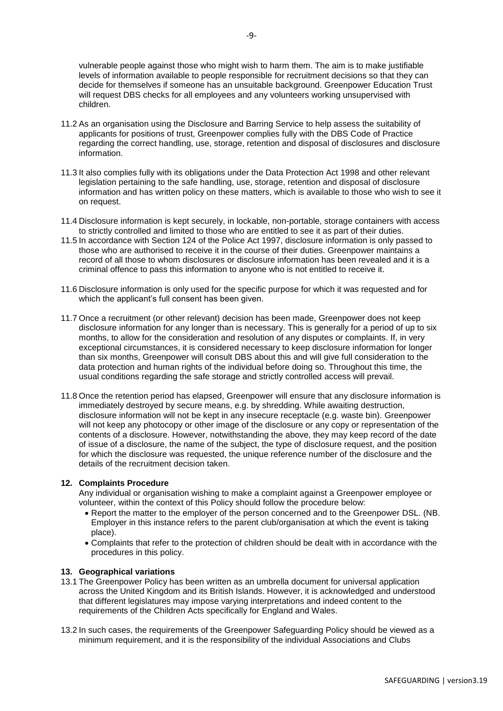vulnerable people against those who might wish to harm them. The aim is to make justifiable levels of information available to people responsible for recruitment decisions so that they can decide for themselves if someone has an unsuitable background. Greenpower Education Trust will request DBS checks for all employees and any volunteers working unsupervised with children.

- 11.2 As an organisation using the Disclosure and Barring Service to help assess the suitability of applicants for positions of trust, Greenpower complies fully with the DBS Code of Practice regarding the correct handling, use, storage, retention and disposal of disclosures and disclosure information.
- 11.3 It also complies fully with its obligations under the Data Protection Act 1998 and other relevant legislation pertaining to the safe handling, use, storage, retention and disposal of disclosure information and has written policy on these matters, which is available to those who wish to see it on request.
- 11.4 Disclosure information is kept securely, in lockable, non-portable, storage containers with access to strictly controlled and limited to those who are entitled to see it as part of their duties.
- 11.5 In accordance with Section 124 of the Police Act 1997, disclosure information is only passed to those who are authorised to receive it in the course of their duties. Greenpower maintains a record of all those to whom disclosures or disclosure information has been revealed and it is a criminal offence to pass this information to anyone who is not entitled to receive it.
- 11.6 Disclosure information is only used for the specific purpose for which it was requested and for which the applicant's full consent has been given.
- 11.7 Once a recruitment (or other relevant) decision has been made, Greenpower does not keep disclosure information for any longer than is necessary. This is generally for a period of up to six months, to allow for the consideration and resolution of any disputes or complaints. If, in very exceptional circumstances, it is considered necessary to keep disclosure information for longer than six months, Greenpower will consult DBS about this and will give full consideration to the data protection and human rights of the individual before doing so. Throughout this time, the usual conditions regarding the safe storage and strictly controlled access will prevail.
- 11.8 Once the retention period has elapsed, Greenpower will ensure that any disclosure information is immediately destroyed by secure means, e.g. by shredding. While awaiting destruction, disclosure information will not be kept in any insecure receptacle (e.g. waste bin). Greenpower will not keep any photocopy or other image of the disclosure or any copy or representation of the contents of a disclosure. However, notwithstanding the above, they may keep record of the date of issue of a disclosure, the name of the subject, the type of disclosure request, and the position for which the disclosure was requested, the unique reference number of the disclosure and the details of the recruitment decision taken.

### **12. Complaints Procedure**

Any individual or organisation wishing to make a complaint against a Greenpower employee or volunteer, within the context of this Policy should follow the procedure below:

- Report the matter to the employer of the person concerned and to the Greenpower DSL. (NB. Employer in this instance refers to the parent club/organisation at which the event is taking place).
- Complaints that refer to the protection of children should be dealt with in accordance with the procedures in this policy.

#### **13. Geographical variations**

- 13.1 The Greenpower Policy has been written as an umbrella document for universal application across the United Kingdom and its British Islands. However, it is acknowledged and understood that different legislatures may impose varying interpretations and indeed content to the requirements of the Children Acts specifically for England and Wales.
- 13.2 In such cases, the requirements of the Greenpower Safeguarding Policy should be viewed as a minimum requirement, and it is the responsibility of the individual Associations and Clubs